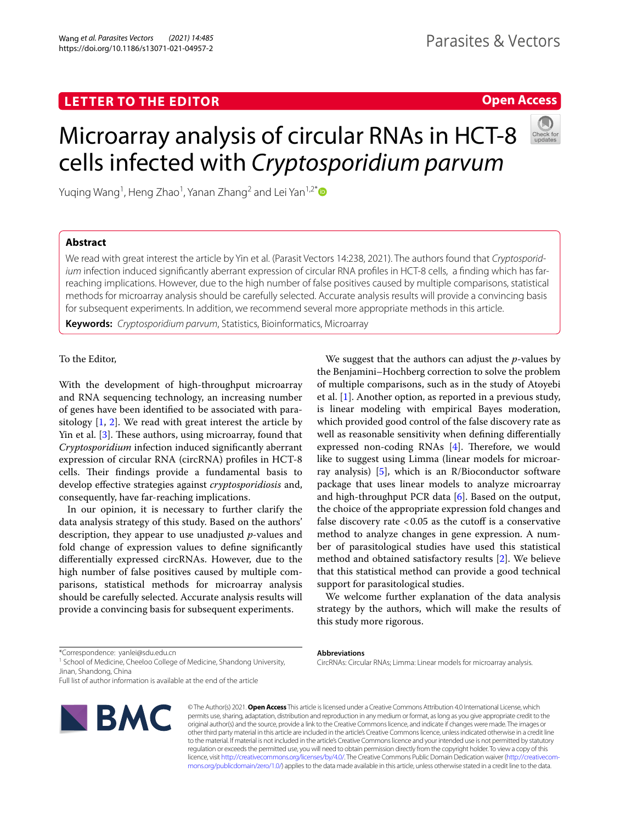# **LETTER TO THE EDITOR**

# **Open Access**

# Microarray analysis of circular RNAs in HCT-8 cells infected with *Cryptosporidium parvum*

Yuqing Wang<sup>1</sup>, Heng Zhao<sup>1</sup>, Yanan Zhang<sup>2</sup> and Lei Yan<sup>1,2[\\*](http://orcid.org/0000-0002-3333-8556)</sup>

# **Abstract**

We read with great interest the article by Yin et al. (Parasit Vectors 14:238, 2021). The authors found that *Cryptosporidium* infection induced signifcantly aberrant expression of circular RNA profles in HCT-8 cells, a fnding which has farreaching implications. However, due to the high number of false positives caused by multiple comparisons, statistical methods for microarray analysis should be carefully selected. Accurate analysis results will provide a convincing basis for subsequent experiments. In addition, we recommend several more appropriate methods in this article.

**Keywords:** *Cryptosporidium parvum*, Statistics, Bioinformatics, Microarray

## To the Editor,

With the development of high-throughput microarray and RNA sequencing technology, an increasing number of genes have been identifed to be associated with parasitology [[1,](#page-1-0) [2](#page-1-1)]. We read with great interest the article by Yin et al. [\[3](#page-1-2)]. These authors, using microarray, found that *Cryptosporidium* infection induced signifcantly aberrant expression of circular RNA (circRNA) profles in HCT-8 cells. Their findings provide a fundamental basis to develop efective strategies against *cryptosporidiosis* and, consequently, have far-reaching implications.

In our opinion, it is necessary to further clarify the data analysis strategy of this study. Based on the authors' description, they appear to use unadjusted *p*-values and fold change of expression values to defne signifcantly diferentially expressed circRNAs. However, due to the high number of false positives caused by multiple comparisons, statistical methods for microarray analysis should be carefully selected. Accurate analysis results will provide a convincing basis for subsequent experiments.

We suggest that the authors can adjust the *p*-values by the Benjamini–Hochberg correction to solve the problem of multiple comparisons, such as in the study of Atoyebi et al. [[1\]](#page-1-0). Another option, as reported in a previous study, is linear modeling with empirical Bayes moderation, which provided good control of the false discovery rate as well as reasonable sensitivity when defning diferentially expressed non-coding RNAs [[4\]](#page-1-3). Therefore, we would like to suggest using Limma (linear models for microarray analysis)  $[5]$  $[5]$ , which is an R/Bioconductor software package that uses linear models to analyze microarray and high-throughput PCR data [\[6](#page-1-5)]. Based on the output, the choice of the appropriate expression fold changes and false discovery rate  $< 0.05$  as the cutoff is a conservative method to analyze changes in gene expression. A number of parasitological studies have used this statistical method and obtained satisfactory results [[2\]](#page-1-1). We believe that this statistical method can provide a good technical support for parasitological studies.

We welcome further explanation of the data analysis strategy by the authors, which will make the results of this study more rigorous.

<sup>1</sup> School of Medicine, Cheeloo College of Medicine, Shandong University, Jinan, Shandong, China

Full list of author information is available at the end of the article



© The Author(s) 2021. **Open Access** This article is licensed under a Creative Commons Attribution 4.0 International License, which permits use, sharing, adaptation, distribution and reproduction in any medium or format, as long as you give appropriate credit to the original author(s) and the source, provide a link to the Creative Commons licence, and indicate if changes were made. The images or other third party material in this article are included in the article's Creative Commons licence, unless indicated otherwise in a credit line to the material. If material is not included in the article's Creative Commons licence and your intended use is not permitted by statutory regulation or exceeds the permitted use, you will need to obtain permission directly from the copyright holder. To view a copy of this licence, visit [http://creativecommons.org/licenses/by/4.0/.](http://creativecommons.org/licenses/by/4.0/) The Creative Commons Public Domain Dedication waiver ([http://creativecom](http://creativecommons.org/publicdomain/zero/1.0/)[mons.org/publicdomain/zero/1.0/\)](http://creativecommons.org/publicdomain/zero/1.0/) applies to the data made available in this article, unless otherwise stated in a credit line to the data.

#### **Abbreviations**

CircRNAs: Circular RNAs; Limma: Linear models for microarray analysis.

<sup>\*</sup>Correspondence: yanlei@sdu.edu.cn